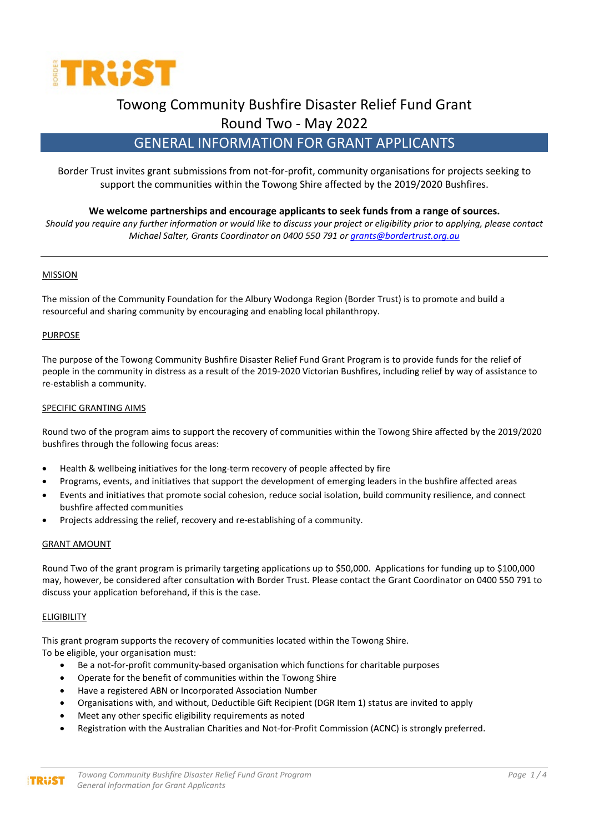

# Towong Community Bushfire Disaster Relief Fund Grant

Round Two - May 2022

## GENERAL INFORMATION FOR GRANT APPLICANTS

Border Trust invites grant submissions from not-for-profit, community organisations for projects seeking to support the communities within the Towong Shire affected by the 2019/2020 Bushfires.

## **We welcome partnerships and encourage applicants to seek funds from a range of sources.**

*Should you require any further information or would like to discuss your project or eligibility prior to applying, please contact Michael Salter, Grants Coordinator on 0400 550 791 o[r grants@bordertrust.org.au](about:blank)*

## MISSION

The mission of the Community Foundation for the Albury Wodonga Region (Border Trust) is to promote and build a resourceful and sharing community by encouraging and enabling local philanthropy.

## **PURPOSE**

The purpose of the Towong Community Bushfire Disaster Relief Fund Grant Program is to provide funds for the relief of people in the community in distress as a result of the 2019-2020 Victorian Bushfires, including relief by way of assistance to re-establish a community.

## SPECIFIC GRANTING AIMS

Round two of the program aims to support the recovery of communities within the Towong Shire affected by the 2019/2020 bushfires through the following focus areas:

- Health & wellbeing initiatives for the long-term recovery of people affected by fire
- Programs, events, and initiatives that support the development of emerging leaders in the bushfire affected areas
- Events and initiatives that promote social cohesion, reduce social isolation, build community resilience, and connect bushfire affected communities
- Projects addressing the relief, recovery and re-establishing of a community.

## GRANT AMOUNT

Round Two of the grant program is primarily targeting applications up to \$50,000. Applications for funding up to \$100,000 may, however, be considered after consultation with Border Trust*.* Please contact the Grant Coordinator on 0400 550 791 to discuss your application beforehand, if this is the case.

## ELIGIBILITY

**TRUST** 

This grant program supports the recovery of communities located within the Towong Shire. To be eligible, your organisation must:

- Be a not-for-profit community-based organisation which functions for charitable purposes
- Operate for the benefit of communities within the Towong Shire
- Have a registered ABN or Incorporated Association Number
- Organisations with, and without, Deductible Gift Recipient (DGR Item 1) status are invited to apply
- Meet any other specific eligibility requirements as noted
- Registration with the Australian Charities and Not-for-Profit Commission (ACNC) is strongly preferred.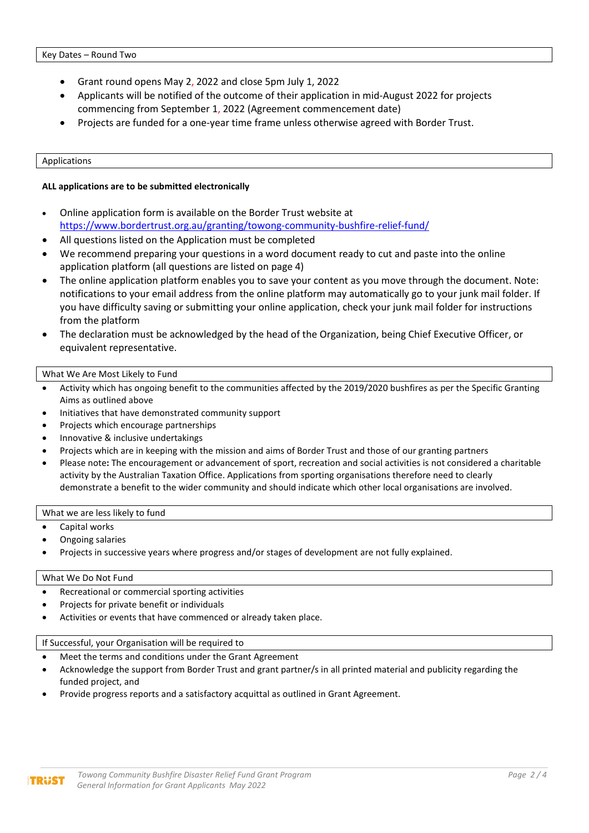- Grant round opens May 2, 2022 and close 5pm July 1, 2022
- Applicants will be notified of the outcome of their application in mid-August 2022 for projects commencing from September 1, 2022 (Agreement commencement date)
- Projects are funded for a one-year time frame unless otherwise agreed with Border Trust.

#### Applications

## **ALL applications are to be submitted electronically**

- Online application form is available on the Border Trust website at <https://www.bordertrust.org.au/granting/towong-community-bushfire-relief-fund/>
- All questions listed on the Application must be completed
- We recommend preparing your questions in a word document ready to cut and paste into the online application platform (all questions are listed on page 4)
- The online application platform enables you to save your content as you move through the document. Note: notifications to your email address from the online platform may automatically go to your junk mail folder. If you have difficulty saving or submitting your online application, check your junk mail folder for instructions from the platform
- The declaration must be acknowledged by the head of the Organization, being Chief Executive Officer, or equivalent representative.

## What We Are Most Likely to Fund

- Activity which has ongoing benefit to the communities affected by the 2019/2020 bushfires as per the Specific Granting Aims as outlined above
- Initiatives that have demonstrated community support
- Projects which encourage partnerships
- Innovative & inclusive undertakings
- Projects which are in keeping with the mission and aims of Border Trust and those of our granting partners
- Please note**:** The encouragement or advancement of sport, recreation and social activities is not considered a charitable activity by the Australian Taxation Office. Applications from sporting organisations therefore need to clearly demonstrate a benefit to the wider community and should indicate which other local organisations are involved.

## What we are less likely to fund

- Capital works
- Ongoing salaries
- Projects in successive years where progress and/or stages of development are not fully explained.

## What We Do Not Fund

**TRUST** 

- Recreational or commercial sporting activities
- Projects for private benefit or individuals
- Activities or events that have commenced or already taken place.

## If Successful, your Organisation will be required to

- Meet the terms and conditions under the Grant Agreement
- Acknowledge the support from Border Trust and grant partner/s in all printed material and publicity regarding the funded project, and
- Provide progress reports and a satisfactory acquittal as outlined in Grant Agreement.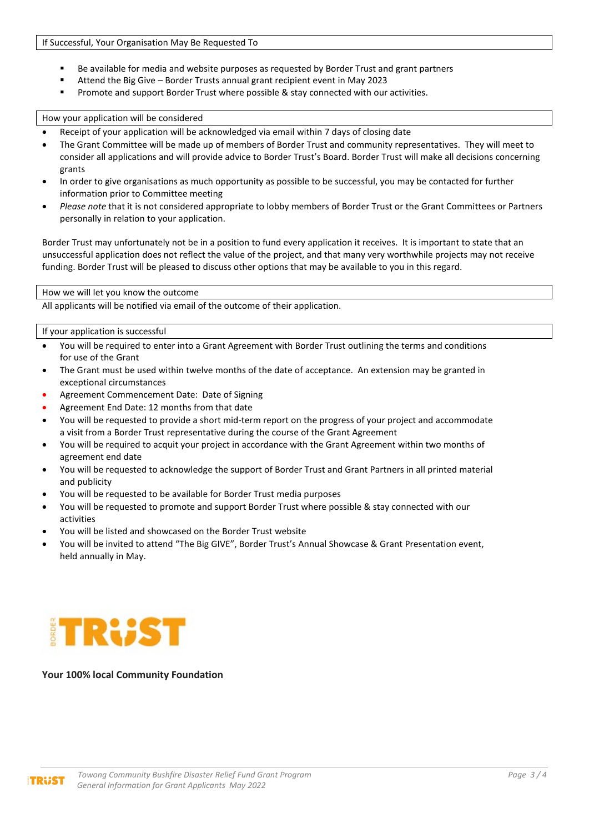- Be available for media and website purposes as requested by Border Trust and grant partners
- Attend the Big Give Border Trusts annual grant recipient event in May 2023<br>Promote and support Border Trust where possible & stay connected with our
- Promote and support Border Trust where possible & stay connected with our activities.

#### How your application will be considered

- Receipt of your application will be acknowledged via email within 7 days of closing date
- The Grant Committee will be made up of members of Border Trust and community representatives. They will meet to consider all applications and will provide advice to Border Trust's Board. Border Trust will make all decisions concerning grants
- In order to give organisations as much opportunity as possible to be successful, you may be contacted for further information prior to Committee meeting
- *Please note* that it is not considered appropriate to lobby members of Border Trust or the Grant Committees or Partners personally in relation to your application.

Border Trust may unfortunately not be in a position to fund every application it receives. It is important to state that an unsuccessful application does not reflect the value of the project, and that many very worthwhile projects may not receive funding. Border Trust will be pleased to discuss other options that may be available to you in this regard.

#### How we will let you know the outcome

All applicants will be notified via email of the outcome of their application.

## If your application is successful

- You will be required to enter into a Grant Agreement with Border Trust outlining the terms and conditions for use of the Grant
- The Grant must be used within twelve months of the date of acceptance. An extension may be granted in exceptional circumstances
- Agreement Commencement Date: Date of Signing
- Agreement End Date: 12 months from that date
- You will be requested to provide a short mid-term report on the progress of your project and accommodate a visit from a Border Trust representative during the course of the Grant Agreement
- You will be required to acquit your project in accordance with the Grant Agreement within two months of agreement end date
- You will be requested to acknowledge the support of Border Trust and Grant Partners in all printed material and publicity
- You will be requested to be available for Border Trust media purposes
- You will be requested to promote and support Border Trust where possible & stay connected with our activities
- You will be listed and showcased on the Border Trust website
- You will be invited to attend "The Big GIVE", Border Trust's Annual Showcase & Grant Presentation event, held annually in May.



## **Your 100% local Community Foundation**